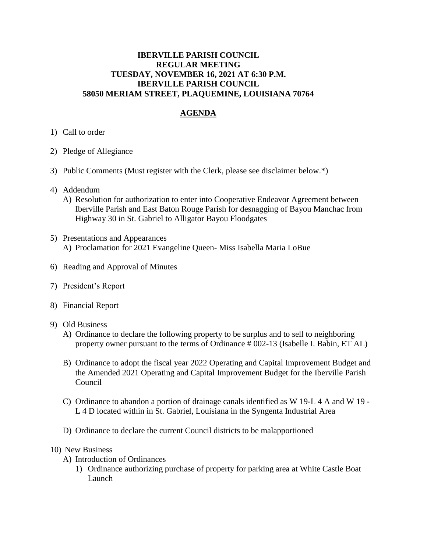## **IBERVILLE PARISH COUNCIL REGULAR MEETING TUESDAY, NOVEMBER 16, 2021 AT 6:30 P.M. IBERVILLE PARISH COUNCIL 58050 MERIAM STREET, PLAQUEMINE, LOUISIANA 70764**

## **AGENDA**

- 1) Call to order
- 2) Pledge of Allegiance
- 3) Public Comments (Must register with the Clerk, please see disclaimer below.\*)
- 4) Addendum
	- A) Resolution for authorization to enter into Cooperative Endeavor Agreement between Iberville Parish and East Baton Rouge Parish for desnagging of Bayou Manchac from Highway 30 in St. Gabriel to Alligator Bayou Floodgates
- 5) Presentations and Appearances A) Proclamation for 2021 Evangeline Queen- Miss Isabella Maria LoBue
- 6) Reading and Approval of Minutes
- 7) President's Report
- 8) Financial Report
- 9) Old Business
	- A) Ordinance to declare the following property to be surplus and to sell to neighboring property owner pursuant to the terms of Ordinance # 002-13 (Isabelle I. Babin, ET AL)
	- B) Ordinance to adopt the fiscal year 2022 Operating and Capital Improvement Budget and the Amended 2021 Operating and Capital Improvement Budget for the Iberville Parish Council
	- C) Ordinance to abandon a portion of drainage canals identified as W 19-L 4 A and W 19 L 4 D located within in St. Gabriel, Louisiana in the Syngenta Industrial Area
	- D) Ordinance to declare the current Council districts to be malapportioned

## 10) New Business

- A) Introduction of Ordinances
	- 1) Ordinance authorizing purchase of property for parking area at White Castle Boat Launch